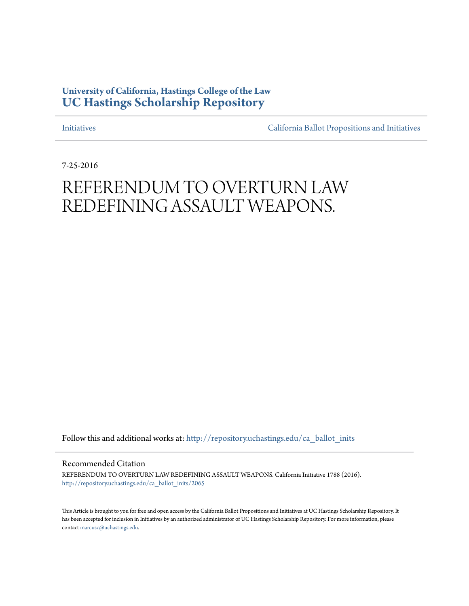# **University of California, Hastings College of the Law [UC Hastings Scholarship Repository](http://repository.uchastings.edu?utm_source=repository.uchastings.edu%2Fca_ballot_inits%2F2065&utm_medium=PDF&utm_campaign=PDFCoverPages)**

[Initiatives](http://repository.uchastings.edu/ca_ballot_inits?utm_source=repository.uchastings.edu%2Fca_ballot_inits%2F2065&utm_medium=PDF&utm_campaign=PDFCoverPages) [California Ballot Propositions and Initiatives](http://repository.uchastings.edu/ca_ballots?utm_source=repository.uchastings.edu%2Fca_ballot_inits%2F2065&utm_medium=PDF&utm_campaign=PDFCoverPages)

7-25-2016

# REFERENDUM TO OVERTURN LAW REDEFINING ASSAULT WEAPONS.

Follow this and additional works at: [http://repository.uchastings.edu/ca\\_ballot\\_inits](http://repository.uchastings.edu/ca_ballot_inits?utm_source=repository.uchastings.edu%2Fca_ballot_inits%2F2065&utm_medium=PDF&utm_campaign=PDFCoverPages)

Recommended Citation

REFERENDUM TO OVERTURN LAW REDEFINING ASSAULT WEAPONS. California Initiative 1788 (2016). [http://repository.uchastings.edu/ca\\_ballot\\_inits/2065](http://repository.uchastings.edu/ca_ballot_inits/2065?utm_source=repository.uchastings.edu%2Fca_ballot_inits%2F2065&utm_medium=PDF&utm_campaign=PDFCoverPages)

This Article is brought to you for free and open access by the California Ballot Propositions and Initiatives at UC Hastings Scholarship Repository. It has been accepted for inclusion in Initiatives by an authorized administrator of UC Hastings Scholarship Repository. For more information, please contact [marcusc@uchastings.edu](mailto:marcusc@uchastings.edu).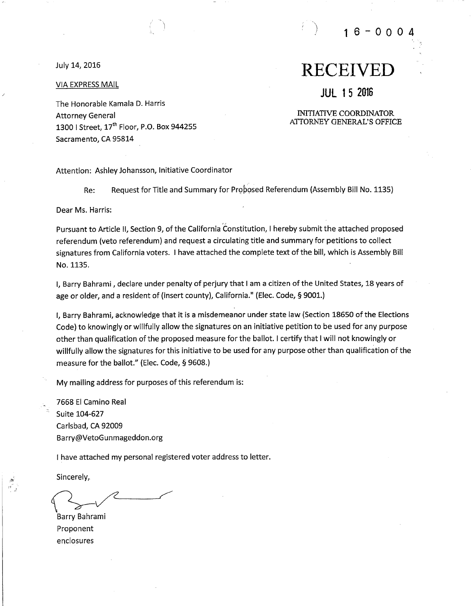July 14, 2016

### **VIA EXPRESS MAIL**

The Honorable Kamala D. Harris **Attorney General** 1300 | Street, 17<sup>th</sup> Floor, P.O. Box 944255 Sacramento, CA 95814

# **RECEIVED**

16-000

# **JUL 15 2016**

**INITIATIVE COORDINATOR** ATTORNEY GENERAL'S OFFICE

Attention: Ashley Johansson, Initiative Coordinator

Request for Title and Summary for Proposed Referendum (Assembly Bill No. 1135) Re:

Dear Ms. Harris:

Pursuant to Article II, Section 9, of the California Constitution, I hereby submit the attached proposed referendum (veto referendum) and request a circulating title and summary for petitions to collect signatures from California voters. I have attached the complete text of the bill, which is Assembly Bill No. 1135.

I, Barry Bahrami, declare under penalty of perjury that I am a citizen of the United States, 18 years of age or older, and a resident of (insert county), California." (Elec. Code, § 9001.)

I. Barry Bahrami, acknowledge that it is a misdemeanor under state law (Section 18650 of the Elections Code) to knowingly or willfully allow the signatures on an initiative petition to be used for any purpose other than qualification of the proposed measure for the ballot. I certify that I will not knowingly or willfully allow the signatures for this initiative to be used for any purpose other than qualification of the measure for the ballot." (Elec. Code, § 9608.)

My mailing address for purposes of this referendum is:

7668 El Camino Real Suite 104-627 Carlsbad, CA 92009 Barry@VetoGunmageddon.org

I have attached my personal registered voter address to letter.

Sincerely,

Barry Bahrami Proponent enclosures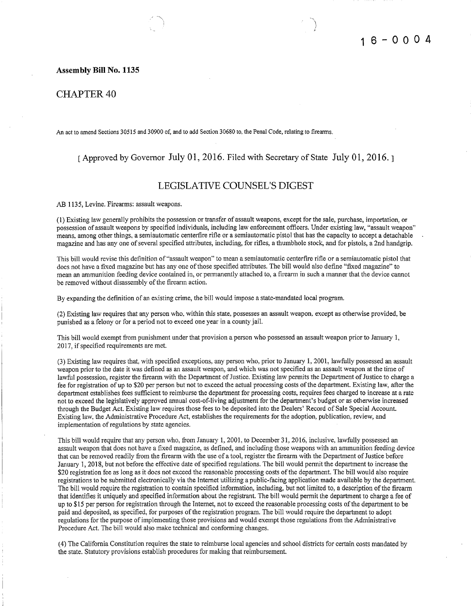### **Assembly Bill No. 1135**

### **CHAPTER 40**

An act to amend Sections 30515 and 30900 of, and to add Section 30680 to, the Penal Code, relating to firearms.

### [ Approved by Governor July 01, 2016. Filed with Secretary of State July 01, 2016.]

### **LEGISLATIVE COUNSEL'S DIGEST**

AB 1135, Levine. Firearms: assault weapons.

(1) Existing law generally prohibits the possession or transfer of assault weapons, except for the sale, purchase, importation, or possession of assault weapons by specified individuals, including law enforcement officers. Under existing law, "assault weapon" means, among other things, a semiautomatic centerfire rifle or a semiautomatic pistol that has the capacity to accept a detachable magazine and has any one of several specified attributes, including, for rifles, a thumbhole stock, and for pistols, a 2nd handgrip.

This bill would revise this definition of "assault weapon" to mean a semiautomatic centerfire rifle or a semiautomatic pistol that does not have a fixed magazine but has any one of those specified attributes. The bill would also define "fixed magazine" to mean an ammunition feeding device contained in, or permanently attached to, a firearm in such a manner that the device cannot be removed without disassembly of the firearm action.

By expanding the definition of an existing crime, the bill would impose a state-mandated local program.

(2) Existing law requires that any person who, within this state, possesses an assault weapon, except as otherwise provided, be punished as a felony or for a period not to exceed one year in a county jail.

This bill would exempt from punishment under that provision a person who possessed an assault weapon prior to January 1, 2017, if specified requirements are met.

(3) Existing law requires that, with specified exceptions, any person who, prior to January 1, 2001, lawfully possessed an assault weapon prior to the date it was defined as an assault weapon, and which was not specified as an assault weapon at the time of lawful possession, register the firearm with the Department of Justice. Existing law permits the Department of Justice to charge a fee for registration of up to \$20 per person but not to exceed the actual processing costs of the department. Existing law, after the department establishes fees sufficient to reimburse the department for processing costs, requires fees charged to increase at a rate not to exceed the legislatively approved annual cost-of-living adjustment for the department's budget or as otherwise increased through the Budget Act. Existing law requires those fees to be deposited into the Dealers' Record of Sale Special Account. Existing law, the Administrative Procedure Act, establishes the requirements for the adoption, publication, review, and implementation of regulations by state agencies.

This bill would require that any person who, from January 1, 2001, to December 31, 2016, inclusive, lawfully possessed an assault weapon that does not have a fixed magazine, as defined, and including those weapons with an ammunition feeding device that can be removed readily from the firearm with the use of a tool, register the firearm with the Department of Justice before January 1, 2018, but not before the effective date of specified regulations. The bill would permit the department to increase the \$20 registration fee as long as it does not exceed the reasonable processing costs of the department. The bill would also require registrations to be submitted electronically via the Internet utilizing a public-facing application made available by the department. The bill would require the registration to contain specified information, including, but not limited to, a description of the firearm that identifies it uniquely and specified information about the registrant. The bill would permit the department to charge a fee of up to \$15 per person for registration through the Internet, not to exceed the reasonable processing costs of the department to be paid and deposited, as specified, for purposes of the registration program. The bill would require the department to adopt regulations for the purpose of implementing those provisions and would exempt those regulations from the Administrative Procedure Act. The bill would also make technical and conforming changes.

(4) The California Constitution requires the state to reimburse local agencies and school districts for certain costs mandated by the state. Statutory provisions establish procedures for making that reimbursement.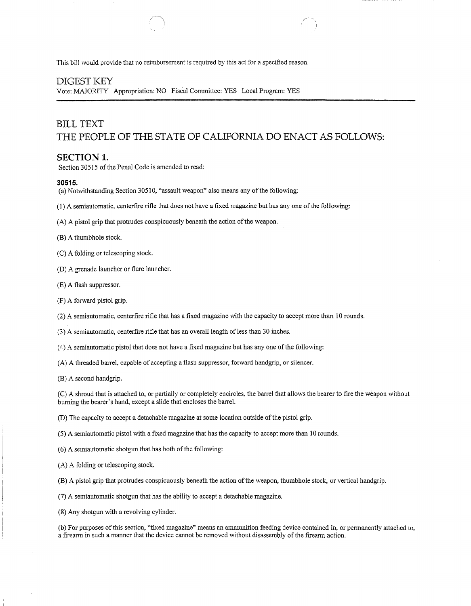This bill would provide that no reimbursement is required by this act for a specified reason.

### **DIGEST KEY**

Vote: MAJORITY Appropriation: NO Fiscal Committee: YES Local Program: YES

# **BILL TEXT** THE PEOPLE OF THE STATE OF CALIFORNIA DO ENACT AS FOLLOWS:

### **SECTION 1.**

Section 30515 of the Penal Code is amended to read:

### 30515.

- (a) Notwithstanding Section 30510, "assault weapon" also means any of the following:
- (1) A semiautomatic, centerfire rifle that does not have a fixed magazine but has any one of the following:
- (A) A pistol grip that protrudes conspicuously beneath the action of the weapon.
- (B) A thumbhole stock.
- (C) A folding or telescoping stock.
- (D) A grenade launcher or flare launcher.
- (E) A flash suppressor.
- (F) A forward pistol grip.
- (2) A semiautomatic, centerfire rifle that has a fixed magazine with the capacity to accept more than 10 rounds.
- (3) A semiautomatic, centerfire rifle that has an overall length of less than 30 inches.
- (4) A semiautomatic pistol that does not have a fixed magazine but has any one of the following:
- (A) A threaded barrel, capable of accepting a flash suppressor, forward handgrip, or silencer.
- (B) A second handgrip.

(C) A shroud that is attached to, or partially or completely encircles, the barrel that allows the bearer to fire the weapon without burning the bearer's hand, except a slide that encloses the barrel.

(D) The capacity to accept a detachable magazine at some location outside of the pistol grip.

(5) A semiautomatic pistol with a fixed magazine that has the capacity to accept more than 10 rounds.

- (6) A semiautomatic shotgun that has both of the following:
- (A) A folding or telescoping stock.
- (B) A pistol grip that protrudes conspicuously beneath the action of the weapon, thumbhole stock, or vertical handgrip.
- (7) A semiautomatic shotgun that has the ability to accept a detachable magazine.
- (8) Any shotgun with a revolving cylinder.

(b) For purposes of this section, "fixed magazine" means an ammunition feeding device contained in, or permanently attached to, a firearm in such a manner that the device cannot be removed without disassembly of the firearm action.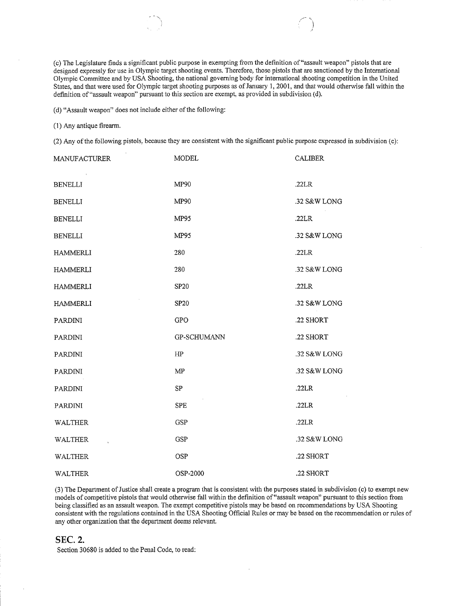(c) The Legislature finds a significant public purpose in exempting from the definition of "assault weapon" pistols that are designed expressly for use in Olympic target shooting events. Therefore, those pistols that are sanctioned by the International Olympic Committee and by USA Shooting, the national governing body for international shooting competition in the United States, and that were used for Olympic target shooting purposes as of January 1, 2001, and that would otherwise fall within the definition of "assault weapon" pursuant to this section are exempt, as provided in subdivision (d).

(d) "Assault weapon" does not include either of the following:

#### (1) Any antique firearm.

(2) Any of the following pistols, because they are consistent with the significant public purpose expressed in subdivision (c):

| <b>MANUFACTURER</b> | <b>MODEL</b>       | <b>CALIBER</b> |
|---------------------|--------------------|----------------|
| <b>BENELLI</b>      | MP90               | .22LR          |
| <b>BENELLI</b>      | MP90               | .32 S&W LONG   |
| <b>BENELLI</b>      | <b>MP95</b>        | .22LR          |
| <b>BENELLI</b>      | MP95               | .32 S&W LONG   |
| <b>HAMMERLI</b>     | 280                | .22LR          |
| <b>HAMMERLI</b>     | 280                | .32 S&W LONG   |
| <b>HAMMERLI</b>     | SP <sub>20</sub>   | .22LR          |
| <b>HAMMERLI</b>     | <b>SP20</b>        | .32 S&W LONG   |
| <b>PARDINI</b>      | <b>GPO</b>         | .22 SHORT      |
| PARDINI             | <b>GP-SCHUMANN</b> | .22 SHORT      |
| <b>PARDINI</b>      | HP                 | .32 S&W LONG   |
| <b>PARDINI</b>      | MP                 | .32 S&W LONG   |
| <b>PARDINI</b>      | SP                 | .22LR          |
| PARDINI             | <b>SPE</b>         | .22LR          |
| <b>WALTHER</b>      | <b>GSP</b>         | .22LR          |
| <b>WALTHER</b>      | <b>GSP</b>         | .32 S&W LONG   |
| <b>WALTHER</b>      | OSP                | .22 SHORT      |
| WALTHER             | OSP-2000           | .22 SHORT      |

(3) The Department of Justice shall create a program that is consistent with the purposes stated in subdivision (c) to exempt new models of competitive pistols that would otherwise fall within the definition of "assault weapon" pursuant to this section from being classified as an assault weapon. The exempt competitive pistols may be based on recommendations by USA Shooting consistent with the regulations contained in the USA Shooting Official Rules or may be based on the recommendation or rules of any other organization that the department deems relevant.

### **SEC. 2.**

Section 30680 is added to the Penal Code, to read: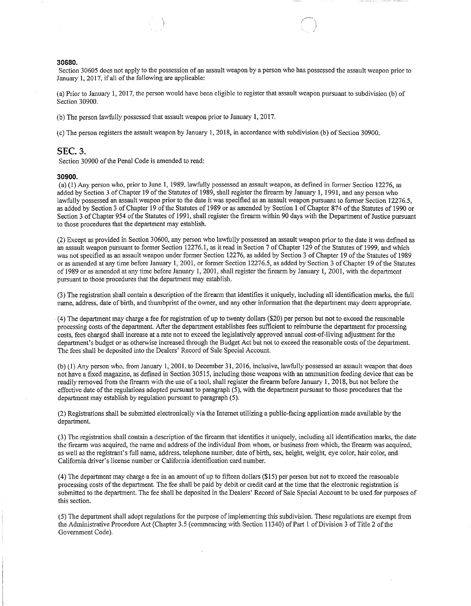### 30680.

Section 30605 does not apply to the possession of an assault weapon by a person who has possessed the assault weapon prior to January 1, 2017, if all of the following are applicable:

(a) Prior to January 1, 2017, the person would have been eligible to register that assault weapon pursuant to subdivision (b) of Section 30900.

(b) The person lawfully possessed that assault weapon prior to January 1, 2017.

(c) The person registers the assault weapon by January 1, 2018, in accordance with subdivision (b) of Section 30900.

### **SEC. 3.**

Section 30900 of the Penal Code is amended to read:

#### 30900.

(a) (1) Any person who, prior to June 1, 1989, lawfully possessed an assault weapon, as defined in former Section 12276, as added by Section 3 of Chapter 19 of the Statutes of 1989, shall register the firearm by January 1, 1991, and any person who lawfully possessed an assault weapon prior to the date it was specified as an assault weapon pursuant to former Section 12276.5. as added by Section 3 of Chapter 19 of the Statutes of 1989 or as amended by Section 1 of Chapter 874 of the Statutes of 1990 or Section 3 of Chapter 954 of the Statutes of 1991, shall register the firearm within 90 days with the Department of Justice pursuant to those procedures that the department may establish.

(2) Except as provided in Section 30600, any person who lawfully possessed an assault weapon prior to the date it was defined as an assault weapon pursuant to former Section 12276.1, as it read in Section 7 of Chapter 129 of the Statutes of 1999, and which was not specified as an assault weapon under former Section 12276, as added by Section 3 of Chapter 19 of the Statutes of 1989 or as amended at any time before January 1, 2001, or former Section 12276.5, as added by Section 3 of Chapter 19 of the Statutes of 1989 or as amended at any time before January 1, 2001, shall register the firearm by January 1, 2001, with the department pursuant to those procedures that the department may establish.

(3) The registration shall contain a description of the firearm that identifies it uniquely, including all identification marks, the full name, address, date of birth, and thumbprint of the owner, and any other information that the department may deem appropriate.

(4) The department may charge a fee for registration of up to twenty dollars (\$20) per person but not to exceed the reasonable processing costs of the department. After the department establishes fees sufficient to reimburse the department for processing costs, fees charged shall increase at a rate not to exceed the legislatively approved annual cost-of-living adjustment for the department's budget or as otherwise increased through the Budget Act but not to exceed the reasonable costs of the department. The fees shall be deposited into the Dealers' Record of Sale Special Account.

(b) (1) Any person who, from January 1, 2001, to December 31, 2016, inclusive, lawfully possessed an assault weapon that does not have a fixed magazine, as defined in Section 30515, including those weapons with an ammunition feeding device that can be readily removed from the firearm with the use of a tool, shall register the firearm before January 1, 2018, but not before the effective date of the regulations adopted pursuant to paragraph (5), with the department pursuant to those procedures that the department may establish by regulation pursuant to paragraph (5).

(2) Registrations shall be submitted electronically via the Internet utilizing a public-facing application made available by the department.

(3) The registration shall contain a description of the firearm that identifies it uniquely, including all identification marks, the date the firearm was acquired, the name and address of the individual from whom, or business from which, the firearm was acquired, as well as the registrant's full name, address, telephone number, date of birth, sex, height, weight, eye color, hair color, and California driver's license number or California identification card number.

(4) The department may charge a fee in an amount of up to fifteen dollars (\$15) per person but not to exceed the reasonable processing costs of the department. The fee shall be paid by debit or credit card at the time that the electronic registration is submitted to the department. The fee shall be deposited in the Dealers' Record of Sale Special Account to be used for purposes of this section.

(5) The department shall adopt regulations for the purpose of implementing this subdivision. These regulations are exempt from the Administrative Procedure Act (Chapter 3.5 (commencing with Section 11340) of Part 1 of Division 3 of Title 2 of the Government Code).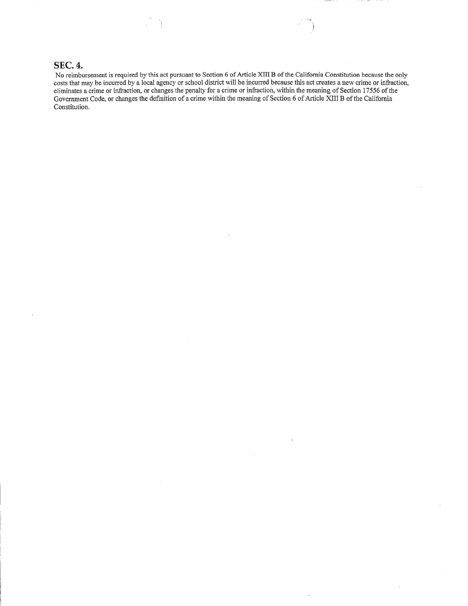## **SEC. 4.**

No reimbursement is required by this act pursuant to Section 6 of Article XIII B of the California Constitution because the only costs that may be incurred by a local agency or school district will be incurred because this act creates a new crime or infraction, eliminates a crime or infraction, or changes the penalty for a crime or infraction, within the meaning of Section 17556 of the Government Code, or changes the definition of a crime within the meaning of Section 6 of Article XIII B of the California Constitution.

 $\ddot{\phantom{1}}$ 

¥,